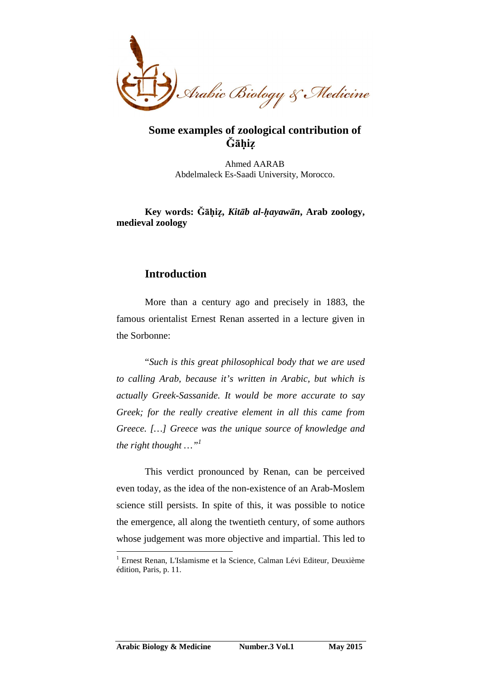

## **Some examples of zoological contribution of Ğāḥiẓ**

Ahmed AARAB Abdelmaleck Es-Saadi University, Morocco.

**Key words: Ğāḥiẓ,** *Kitāb al-ḥayawān***, Arab zoology, medieval zoology** 

## **Introduction**

 $\overline{a}$ 

More than a century ago and precisely in 1883, the famous orientalist Ernest Renan asserted in a lecture given in the Sorbonne:

"*Such is this great philosophical body that we are used to calling Arab, because it's written in Arabic, but which is actually Greek-Sassanide. It would be more accurate to say Greek; for the really creative element in all this came from Greece. […] Greece was the unique source of knowledge and the right thought …"<sup>1</sup>* 

This verdict pronounced by Renan, can be perceived even today, as the idea of the non-existence of an Arab-Moslem science still persists. In spite of this, it was possible to notice the emergence, all along the twentieth century, of some authors whose judgement was more objective and impartial. This led to

<sup>&</sup>lt;sup>1</sup> Ernest Renan, L'Islamisme et la Science, Calman Lévi Editeur, Deuxième édition, Paris, p. 11.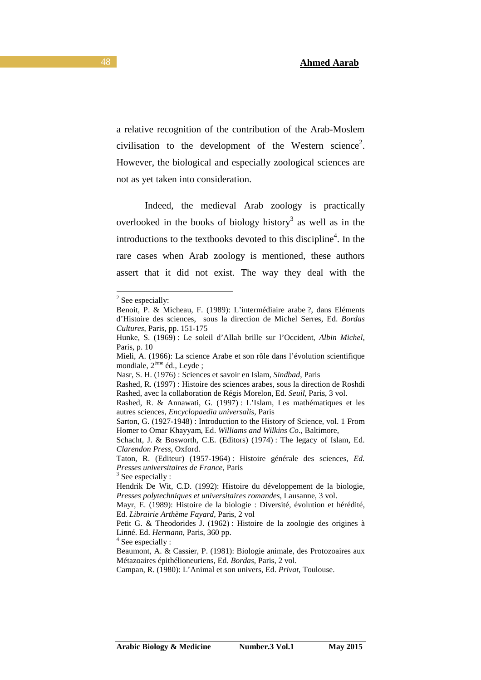a relative recognition of the contribution of the Arab-Moslem civilisation to the development of the Western science<sup>2</sup>. However, the biological and especially zoological sciences are not as yet taken into consideration.

Indeed, the medieval Arab zoology is practically overlooked in the books of biology history<sup>3</sup> as well as in the introductions to the textbooks devoted to this discipline<sup>4</sup>. In the rare cases when Arab zoology is mentioned, these authors assert that it did not exist. The way they deal with the

 $\overline{a}$ 

<sup>4</sup> See especially :

<sup>&</sup>lt;sup>2</sup> See especially:

Benoit, P. & Micheau, F. (1989): L'intermédiaire arabe ?, dans Eléments d'Histoire des sciences, sous la direction de Michel Serres, Ed. *Bordas Cultures*, Paris, pp. 151-175

Hunke, S. (1969) : Le soleil d'Allah brille sur l'Occident, *Albin Michel*, Paris, p. 10

Mieli, A. (1966): La science Arabe et son rôle dans l'évolution scientifique mondiale, 2ème éd., Leyde ;

Nasr, S. H. (1976) : Sciences et savoir en Islam, *Sindbad*, Paris

Rashed, R. (1997) : Histoire des sciences arabes, sous la direction de Roshdi Rashed, avec la collaboration de Régis Morelon, Ed. *Seuil*, Paris, 3 vol.

Rashed, R. & Annawati, G. (1997) : L'Islam, Les mathématiques et les autres sciences, *Encyclopaedia universalis*, Paris

Sarton, G. (1927-1948) : Introduction to the History of Science, vol. 1 From Homer to Omar Khayyam, Ed. *Williams and Wilkins Co*., Baltimore,

Schacht, J. & Bosworth, C.E. (Editors) (1974) : The legacy of Islam, Ed. *Clarendon Press*, Oxford.

Taton, R. (Editeur) (1957-1964) : Histoire générale des sciences, *Ed. Presses universitaires de France*, Paris

 $3$  See especially :

Hendrik De Wit, C.D. (1992): Histoire du développement de la biologie, *Presses polytechniques et universitaires romandes*, Lausanne, 3 vol.

Mayr, E. (1989): Histoire de la biologie : Diversité, évolution et hérédité, Ed*. Librairie Arthème Fayard*, Paris, 2 vol

Petit G. & Theodorides J. (1962) : Histoire de la zoologie des origines à Linné. Ed. *Hermann*, Paris, 360 pp.

Beaumont, A. & Cassier, P. (1981): Biologie animale, des Protozoaires aux Métazoaires épithélioneuriens, Ed. *Bordas*, Paris, 2 vol.

Campan, R. (1980): L'Animal et son univers, Ed. *Privat*, Toulouse.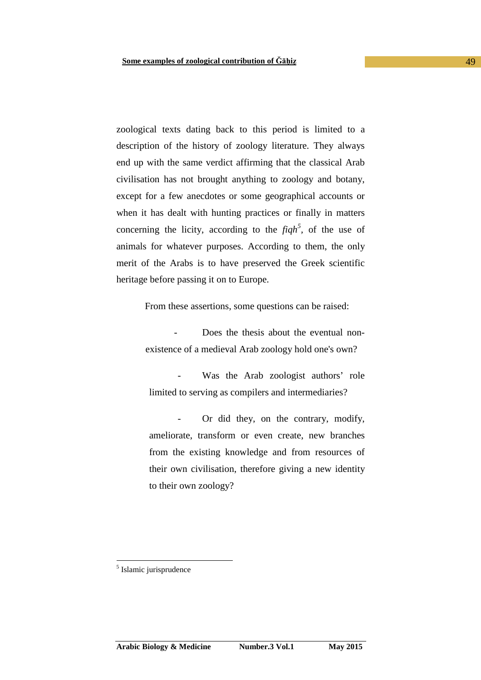zoological texts dating back to this period is limited to a description of the history of zoology literature. They always end up with the same verdict affirming that the classical Arab civilisation has not brought anything to zoology and botany, except for a few anecdotes or some geographical accounts or when it has dealt with hunting practices or finally in matters concerning the licity, according to the  $fiqh^5$ , of the use of animals for whatever purposes. According to them, the only merit of the Arabs is to have preserved the Greek scientific heritage before passing it on to Europe.

From these assertions, some questions can be raised:

Does the thesis about the eventual nonexistence of a medieval Arab zoology hold one's own?

Was the Arab zoologist authors' role limited to serving as compilers and intermediaries?

Or did they, on the contrary, modify, ameliorate, transform or even create, new branches from the existing knowledge and from resources of their own civilisation, therefore giving a new identity to their own zoology?

<sup>5</sup> Islamic jurisprudence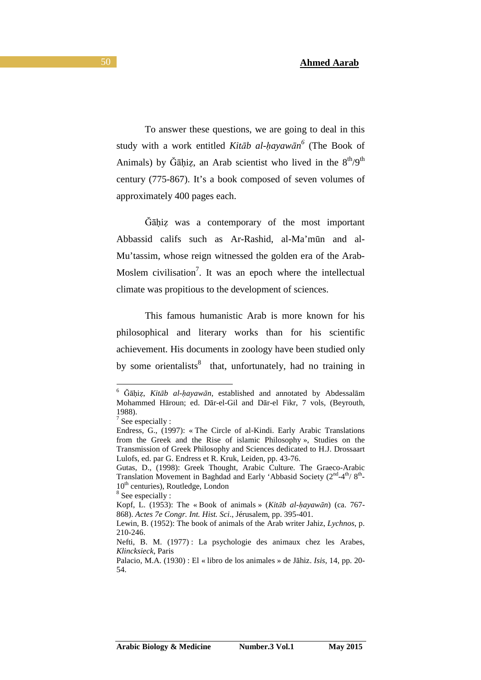To answer these questions, we are going to deal in this study with a work entitled *Kitāb al-ḥayawān 6* (The Book of Animals) by Ğāḥiz, an Arab scientist who lived in the  $8<sup>th</sup>/9<sup>th</sup>$ century (775-867). It's a book composed of seven volumes of approximately 400 pages each.

Ğāḥiẓ was a contemporary of the most important Abbassid califs such as Ar-Rashid, al-Ma'mūn and al-Mu'tassim, whose reign witnessed the golden era of the Arab-Moslem civilisation<sup>7</sup>. It was an epoch where the intellectual climate was propitious to the development of sciences.

 This famous humanistic Arab is more known for his philosophical and literary works than for his scientific achievement. His documents in zoology have been studied only by some orientalists<sup>8</sup> that, unfortunately, had no training in

 $\overline{a}$ 

<sup>8</sup> See especially :

<sup>6</sup> Ğāḥiẓ, *Kitāb al-ḥayawān*, established and annotated by Abdessalām Mohammed Hāroun; ed. Dār-el-Gil and Dār-el Fikr, 7 vols, (Beyrouth, 1988).

 $7$  See especially :

Endress, G., (1997): « The Circle of al-Kindi. Early Arabic Translations from the Greek and the Rise of islamic Philosophy », Studies on the Transmission of Greek Philosophy and Sciences dedicated to H.J. Drossaart Lulofs, ed. par G. Endress et R. Kruk, Leiden, pp. 43-76.

Gutas, D., (1998): Greek Thought, Arabic Culture. The Graeco-Arabic Translation Movement in Baghdad and Early 'Abbasid Society (2<sup>nd</sup>-4<sup>th</sup>/8<sup>th</sup>- $10<sup>th</sup>$  centuries), Routledge, London

Kopf, L. (1953): The « Book of animals » (*Kitāb al-ḥayawān*) (ca. 767- 868). *Actes 7e Congr. Int. Hist. Sci*., Jérusalem, pp. 395-401.

Lewin, B. (1952): The book of animals of the Arab writer Jahiz, *Lychnos*, p. 210-246.

Nefti, B. M. (1977) : La psychologie des animaux chez les Arabes, *Klincksieck*, Paris

Palacio, M.A. (1930) : El « libro de los animales » de Jāhiz. *Isis*, 14, pp. 20- 54.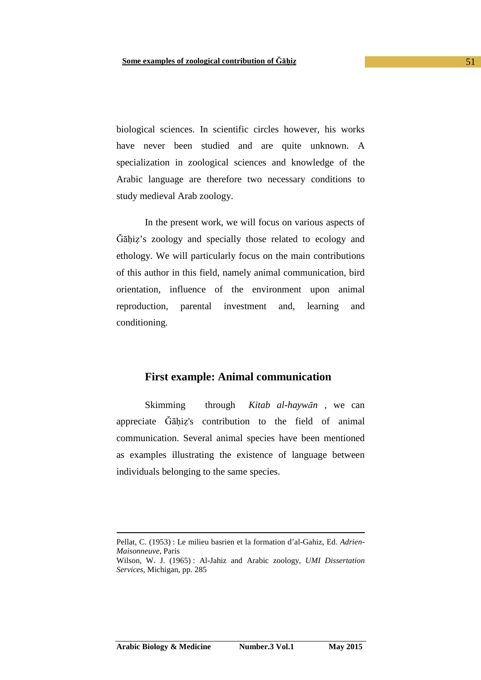biological sciences. In scientific circles however, his works have never been studied and are quite unknown. A specialization in zoological sciences and knowledge of the Arabic language are therefore two necessary conditions to study medieval Arab zoology.

In the present work, we will focus on various aspects of Ğāḥiẓ's zoology and specially those related to ecology and ethology. We will particularly focus on the main contributions of this author in this field, namely animal communication, bird orientation, influence of the environment upon animal reproduction, parental investment and, learning and conditioning.

### **First example: Animal communication**

Skimming through *Kitab al-haywān* , we can appreciate Ğāḥiẓ's contribution to the field of animal communication. Several animal species have been mentioned as examples illustrating the existence of language between individuals belonging to the same species.

Pellat, C. (1953) : Le milieu basrien et la formation d'al-Gahiz, Ed. *Adrien-Maisonneuve*, Paris

Wilson, W. J. (1965) : Al-Jahiz and Arabic zoology, *UMI Dissertation Services*, Michigan, pp. 285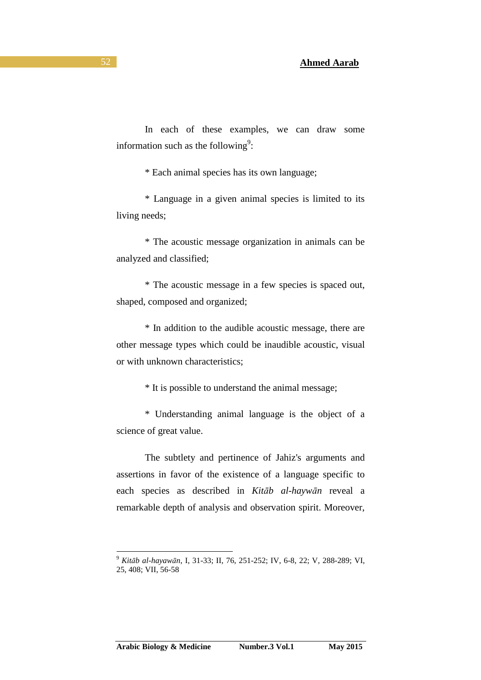information such as the following<sup>9</sup>:

\* Each animal species has its own language;

\* Language in a given animal species is limited to its living needs;

\* The acoustic message organization in animals can be analyzed and classified;

\* The acoustic message in a few species is spaced out, shaped, composed and organized;

\* In addition to the audible acoustic message, there are other message types which could be inaudible acoustic, visual or with unknown characteristics;

\* It is possible to understand the animal message;

\* Understanding animal language is the object of a science of great value.

The subtlety and pertinence of Jahiz's arguments and assertions in favor of the existence of a language specific to each species as described in *Kitāb al-haywān* reveal a remarkable depth of analysis and observation spirit. Moreover,

<sup>9</sup> *Kitāb al-hayawān*, I, 31-33; II, 76, 251-252; IV, 6-8, 22; V, 288-289; VI, 25, 408; VII, 56-58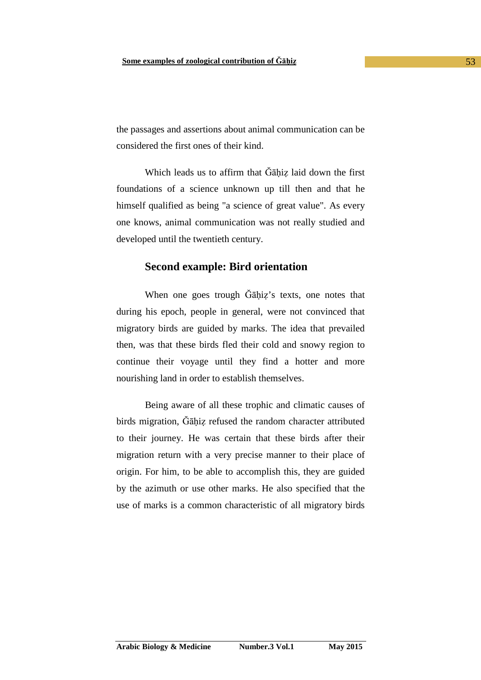the passages and assertions about animal communication can be considered the first ones of their kind.

Which leads us to affirm that Gahiz laid down the first foundations of a science unknown up till then and that he himself qualified as being "a science of great value". As every one knows, animal communication was not really studied and developed until the twentieth century.

#### **Second example: Bird orientation**

When one goes trough Gahiz's texts, one notes that during his epoch, people in general, were not convinced that migratory birds are guided by marks. The idea that prevailed then, was that these birds fled their cold and snowy region to continue their voyage until they find a hotter and more nourishing land in order to establish themselves.

 Being aware of all these trophic and climatic causes of birds migration. Gāhiz refused the random character attributed to their journey. He was certain that these birds after their migration return with a very precise manner to their place of origin. For him, to be able to accomplish this, they are guided by the azimuth or use other marks. He also specified that the use of marks is a common characteristic of all migratory birds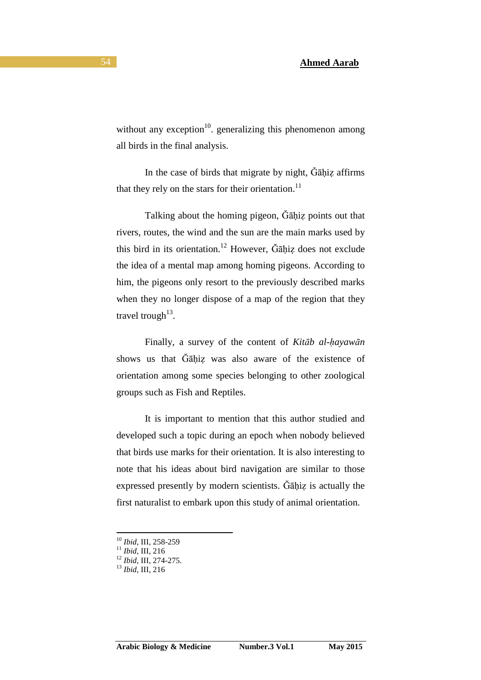without any exception $10$ . generalizing this phenomenon among all birds in the final analysis.

In the case of birds that migrate by night,  $\ddot{G}$ andiz affirms that they rely on the stars for their orientation.<sup>11</sup>

Talking about the homing pigeon, Ğāḥiẓ points out that rivers, routes, the wind and the sun are the main marks used by this bird in its orientation.<sup>12</sup> However,  $\tilde{G}$ āhiz does not exclude the idea of a mental map among homing pigeons. According to him, the pigeons only resort to the previously described marks when they no longer dispose of a map of the region that they travel trough<sup>13</sup>.

Finally, a survey of the content of *Kitāb al-ḥayawān* shows us that Gahiz was also aware of the existence of orientation among some species belonging to other zoological groups such as Fish and Reptiles.

It is important to mention that this author studied and developed such a topic during an epoch when nobody believed that birds use marks for their orientation. It is also interesting to note that his ideas about bird navigation are similar to those expressed presently by modern scientists. Ğāḥiẓ is actually the first naturalist to embark upon this study of animal orientation.

 $\overline{a}$ <sup>10</sup> *Ibid*, III, 258-259

<sup>11</sup> *Ibid*, III, 216

<sup>12</sup> *Ibid,* III, 274-275.

<sup>13</sup> *Ibid*, III, 216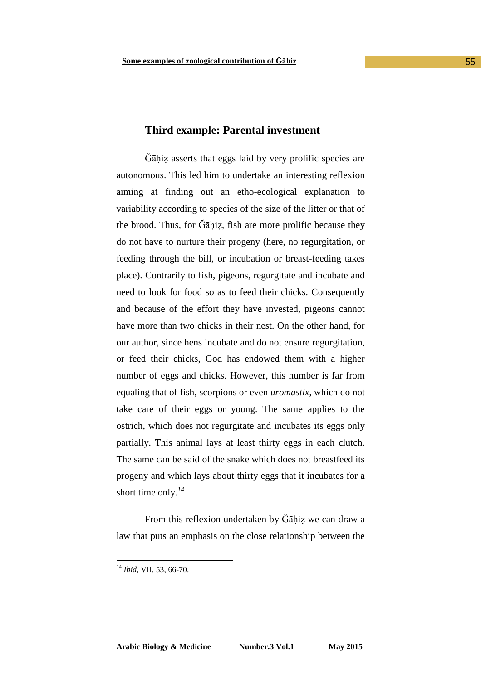#### **Third example: Parental investment**

Ğāḥiẓ asserts that eggs laid by very prolific species are autonomous. This led him to undertake an interesting reflexion aiming at finding out an etho-ecological explanation to variability according to species of the size of the litter or that of the brood. Thus, for Ğāḥiẓ, fish are more prolific because they do not have to nurture their progeny (here, no regurgitation, or feeding through the bill, or incubation or breast-feeding takes place). Contrarily to fish, pigeons, regurgitate and incubate and need to look for food so as to feed their chicks. Consequently and because of the effort they have invested, pigeons cannot have more than two chicks in their nest. On the other hand, for our author, since hens incubate and do not ensure regurgitation, or feed their chicks, God has endowed them with a higher number of eggs and chicks. However, this number is far from equaling that of fish, scorpions or even *uromastix*, which do not take care of their eggs or young. The same applies to the ostrich, which does not regurgitate and incubates its eggs only partially. This animal lays at least thirty eggs in each clutch. The same can be said of the snake which does not breastfeed its progeny and which lays about thirty eggs that it incubates for a short time only.*<sup>14</sup>*

From this reflexion undertaken by Ğāhiz we can draw a law that puts an emphasis on the close relationship between the

<sup>14</sup> *Ibid,* VII, 53, 66-70.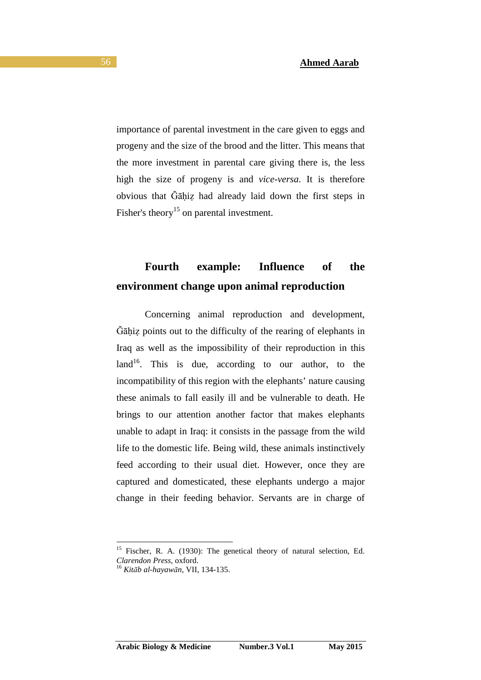importance of parental investment in the care given to eggs and progeny and the size of the brood and the litter. This means that the more investment in parental care giving there is, the less high the size of progeny is and *vice-versa*. It is therefore obvious that Ğāḥiẓ had already laid down the first steps in Fisher's theory<sup>15</sup> on parental investment.

# **Fourth example: Influence of the environment change upon animal reproduction**

Concerning animal reproduction and development, Ğāḥiẓ points out to the difficulty of the rearing of elephants in Iraq as well as the impossibility of their reproduction in this  $land<sup>16</sup>$ . This is due, according to our author, to the incompatibility of this region with the elephants' nature causing these animals to fall easily ill and be vulnerable to death. He brings to our attention another factor that makes elephants unable to adapt in Iraq: it consists in the passage from the wild life to the domestic life. Being wild, these animals instinctively feed according to their usual diet. However, once they are captured and domesticated, these elephants undergo a major change in their feeding behavior. Servants are in charge of

<sup>&</sup>lt;sup>15</sup> Fischer, R. A. (1930): The genetical theory of natural selection, Ed. *Clarendon Press*, oxford.

<sup>16</sup> *Kitāb al-hayawān,* VII, 134-135.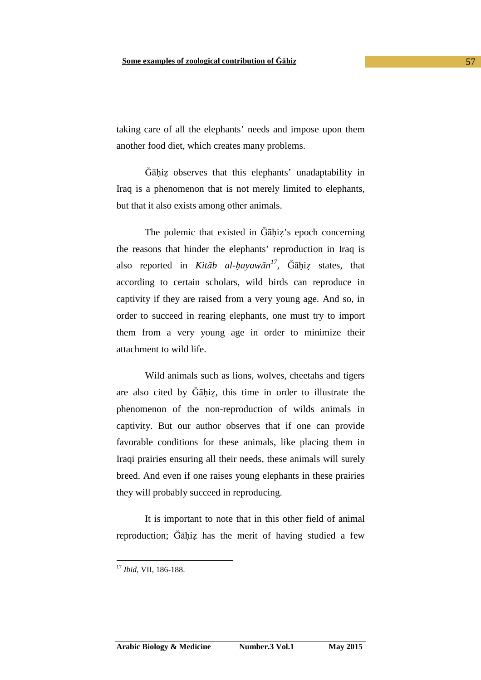taking care of all the elephants' needs and impose upon them another food diet, which creates many problems.

Ğāḥiẓ observes that this elephants' unadaptability in Iraq is a phenomenon that is not merely limited to elephants, but that it also exists among other animals.

The polemic that existed in Ğāḥiẓ's epoch concerning the reasons that hinder the elephants' reproduction in Iraq is also reported in *Kitāb al-ḥayawān 17* , Ğāḥiẓ states, that according to certain scholars, wild birds can reproduce in captivity if they are raised from a very young age. And so, in order to succeed in rearing elephants, one must try to import them from a very young age in order to minimize their attachment to wild life.

 Wild animals such as lions, wolves, cheetahs and tigers are also cited by Ğāḥiẓ, this time in order to illustrate the phenomenon of the non-reproduction of wilds animals in captivity. But our author observes that if one can provide favorable conditions for these animals, like placing them in Iraqi prairies ensuring all their needs, these animals will surely breed. And even if one raises young elephants in these prairies they will probably succeed in reproducing.

It is important to note that in this other field of animal reproduction; Gāhiz has the merit of having studied a few

<sup>17</sup> *Ibid,* VII, 186-188.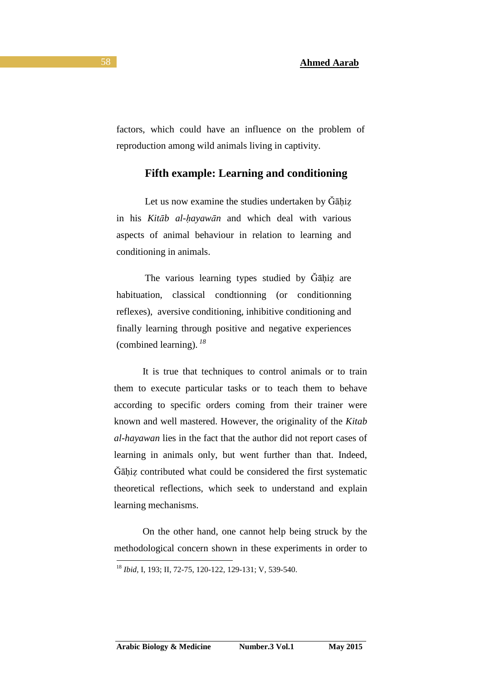factors, which could have an influence on the problem of reproduction among wild animals living in captivity.

## **Fifth example: Learning and conditioning**

Let us now examine the studies undertaken by  $\tilde{G}$ āhiz in his *Kitāb al-ḥayawān* and which deal with various aspects of animal behaviour in relation to learning and conditioning in animals.

The various learning types studied by Gāhiz are habituation, classical condtionning (or conditionning reflexes), aversive conditioning, inhibitive conditioning and finally learning through positive and negative experiences (combined learning).*<sup>18</sup>*

It is true that techniques to control animals or to train them to execute particular tasks or to teach them to behave according to specific orders coming from their trainer were known and well mastered. However, the originality of the *Kitab al-hayawan* lies in the fact that the author did not report cases of learning in animals only, but went further than that. Indeed, Ğāḥiẓ contributed what could be considered the first systematic theoretical reflections, which seek to understand and explain learning mechanisms.

On the other hand, one cannot help being struck by the methodological concern shown in these experiments in order to

<sup>18</sup> *Ibid,* I, 193; II, 72-75, 120-122, 129-131; V, 539-540.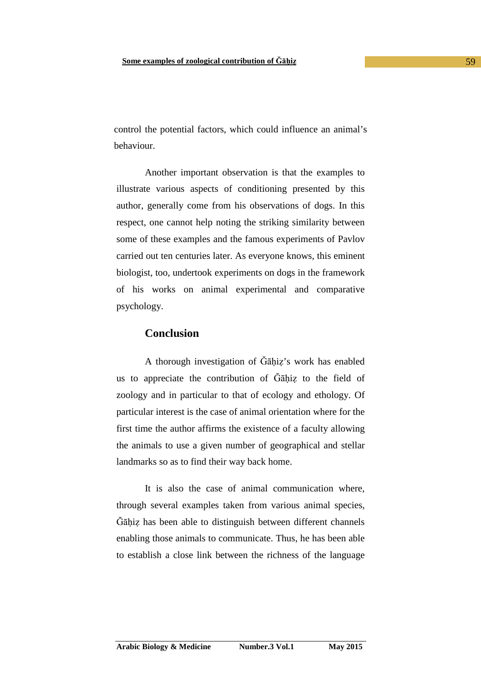control the potential factors, which could influence an animal's behaviour.

Another important observation is that the examples to illustrate various aspects of conditioning presented by this author, generally come from his observations of dogs. In this respect, one cannot help noting the striking similarity between some of these examples and the famous experiments of Pavlov carried out ten centuries later. As everyone knows, this eminent biologist, too, undertook experiments on dogs in the framework of his works on animal experimental and comparative psychology.

## **Conclusion**

A thorough investigation of Ğāḥiẓ's work has enabled us to appreciate the contribution of Ğāḥiẓ to the field of zoology and in particular to that of ecology and ethology. Of particular interest is the case of animal orientation where for the first time the author affirms the existence of a faculty allowing the animals to use a given number of geographical and stellar landmarks so as to find their way back home.

It is also the case of animal communication where, through several examples taken from various animal species, Ğāḥiẓ has been able to distinguish between different channels enabling those animals to communicate. Thus, he has been able to establish a close link between the richness of the language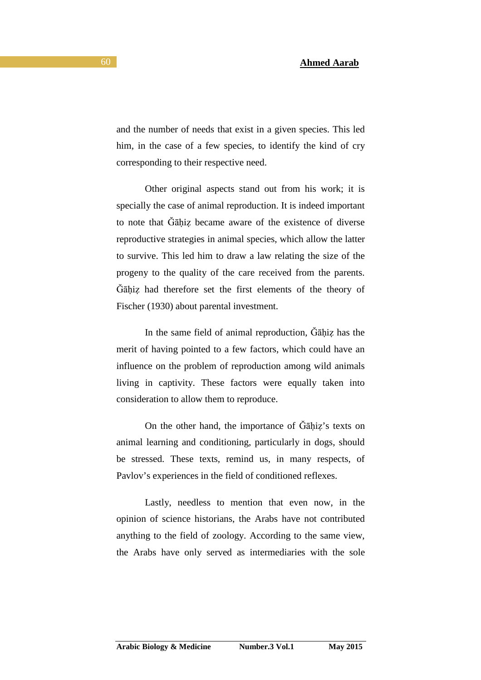and the number of needs that exist in a given species. This led him, in the case of a few species, to identify the kind of cry corresponding to their respective need.

Other original aspects stand out from his work; it is specially the case of animal reproduction. It is indeed important to note that Gahiz became aware of the existence of diverse reproductive strategies in animal species, which allow the latter to survive. This led him to draw a law relating the size of the progeny to the quality of the care received from the parents. Ğāḥiẓ had therefore set the first elements of the theory of Fischer (1930) about parental investment.

In the same field of animal reproduction, Gāhiz has the merit of having pointed to a few factors, which could have an influence on the problem of reproduction among wild animals living in captivity. These factors were equally taken into consideration to allow them to reproduce.

On the other hand, the importance of  $\tilde{G}$ āhiz's texts on animal learning and conditioning, particularly in dogs, should be stressed. These texts, remind us, in many respects, of Pavlov's experiences in the field of conditioned reflexes.

Lastly, needless to mention that even now, in the opinion of science historians, the Arabs have not contributed anything to the field of zoology. According to the same view, the Arabs have only served as intermediaries with the sole